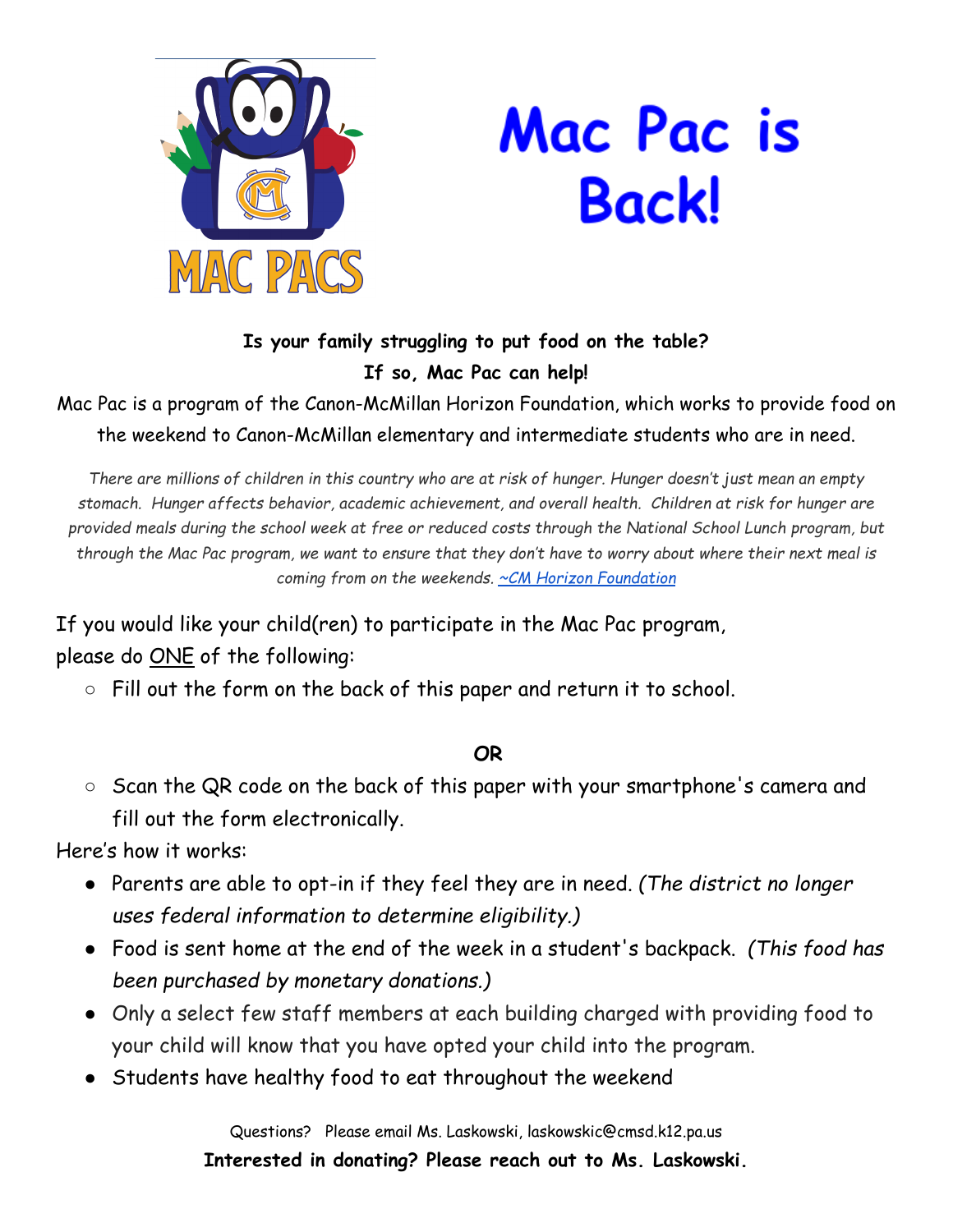

## Mac Pac is Backl

## **Is your family struggling to put food on the table? If so, Mac Pac can help!**

## Mac Pac is a program of the Canon-McMillan Horizon Foundation, which works to provide food on the weekend to Canon-McMillan elementary and intermediate students who are in need.

There are millions of children in this country who are at risk of hunger. Hunger doesn't just mean an empty *stomach. Hunger affects behavior, academic achievement, and overall health. Children at risk for hunger are* provided meals during the school week at free or reduced costs through the National School Lunch program, but through the Mac Pac program, we want to ensure that they don't have to worry about where their next meal is *coming from on the weekends. ~CM Horizon [Foundation](http://www.cmhorizonfoundation.org/mac-pac-2/)*

If you would like your child(ren) to participate in the Mac Pac program, please do **ONE** of the following:

○ Fill out the form on the back of this paper and return it to school.

## **OR**

○ Scan the QR code on the back of this paper with your smartphone's camera and fill out the form electronically.

Here's how it works:

- Parents are able to opt-in if they feel they are in need. *(The district no longer uses federal information to determine eligibility.)*
- Food is sent home at the end of the week in a student's backpack. *(This food has been purchased by monetary donations.)*
- Only a select few staff members at each building charged with providing food to your child will know that you have opted your child into the program.
- Students have healthy food to eat throughout the weekend

Questions? Please email Ms. Laskowski, laskowskic@cmsd.k12.pa.us **Interested in donating? Please reach out to Ms. Laskowski.**